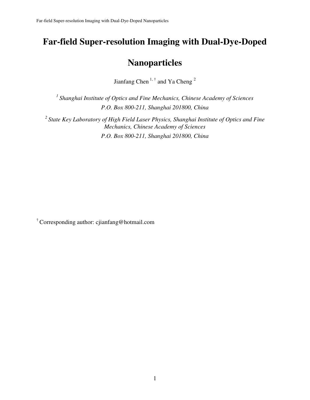# **Far-field Super-resolution Imaging with Dual-Dye-Doped**

## **Nanoparticles**

Jianfang Chen<sup>1,†</sup> and Ya Cheng<sup>2</sup>

*<sup>1</sup>Shanghai Institute of Optics and Fine Mechanics, Chinese Academy of Sciences P.O. Box 800-211, Shanghai 201800, China* 

*<sup>2</sup>State Key Laboratory of High Field Laser Physics, Shanghai Institute of Optics and Fine Mechanics, Chinese Academy of Sciences P.O. Box 800-211, Shanghai 201800, China* 

† Corresponding author: cjianfang@hotmail.com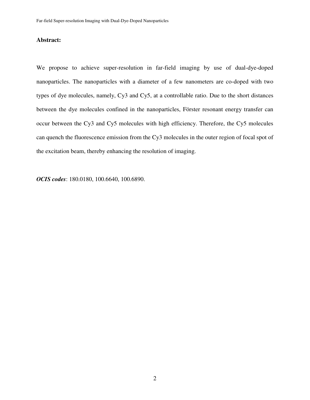### **Abstract:**

We propose to achieve super-resolution in far-field imaging by use of dual-dye-doped nanoparticles. The nanoparticles with a diameter of a few nanometers are co-doped with two types of dye molecules, namely, Cy3 and Cy5, at a controllable ratio. Due to the short distances between the dye molecules confined in the nanoparticles, Förster resonant energy transfer can occur between the Cy3 and Cy5 molecules with high efficiency. Therefore, the Cy5 molecules can quench the fluorescence emission from the Cy3 molecules in the outer region of focal spot of the excitation beam, thereby enhancing the resolution of imaging.

*OCIS codes*: 180.0180, 100.6640, 100.6890.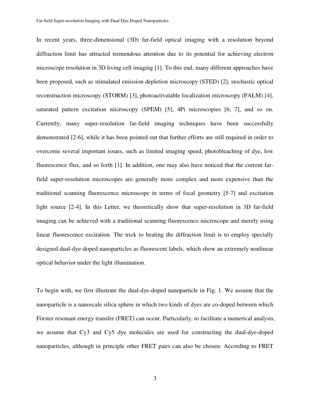In recent years, three-dimensional (3D) far-field optical imaging with a resolution beyond diffraction limit has attracted tremendous attention due to its potential for achieving electron microscope resolution in 3D living cell imaging [1]. To this end, many different approaches have been proposed, such as stimulated emission depletion microscopy (STED) [2], stochastic optical reconstruction microscopy (STORM) [3], photoactivatable localization microscopy (PALM) [4], saturated pattern excitation microscopy (SPEM) [5], 4Pi microscopies [6, 7], and so on. Currently, many super-resolution far-field imaging techniques have been successfully demonstrated [2-6], while it has been pointed out that further efforts are still required in order to overcome several important issues, such as limited imaging speed, photobleaching of dye, low fluorescence flux, and so forth [1]. In addition, one may also have noticed that the current farfield super-resolution microscopes are generally more complex and more expensive than the traditional scanning fluorescence microscope in terms of focal geometry [5-7] and excitation light source [2-4]. In this Letter, we theoretically show that super-resolution in 3D far-field imaging can be achieved with a traditional scanning fluorescence microscope and merely using linear fluorescence excitation. The trick to beating the diffraction limit is to employ specially designed dual-dye-doped nanoparticles as fluorescent labels, which show an extremely nonlinear optical behavior under the light illumination.

To begin with, we first illustrate the dual-dye-doped nanoparticle in Fig. 1. We assume that the nanoparticle is a nanoscale silica sphere in which two kinds of dyes are co-doped between which Förster resonant energy transfer (FRET) can occur. Particularly, to facilitate a numerical analysis, we assume that Cy3 and Cy5 dye molecules are used for constructing the dual-dye-doped nanoparticles, although in principle other FRET pairs can also be chosen. According to FRET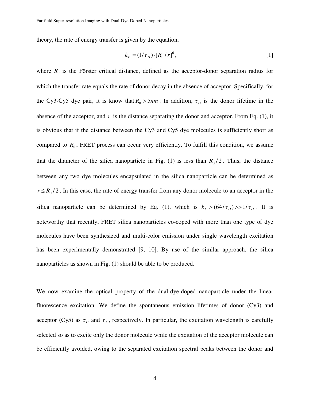theory, the rate of energy transfer is given by the equation,

$$
k_F = (1/\tau_D) \cdot [R_0/r]^6, \tag{1}
$$

where  $R_0$  is the Förster critical distance, defined as the acceptor-donor separation radius for which the transfer rate equals the rate of donor decay in the absence of acceptor. Specifically, for the Cy3-Cy5 dye pair, it is know that  $R_0 > 5$ *nm*. In addition,  $\tau_D$  is the donor lifetime in the absence of the acceptor, and  $r$  is the distance separating the donor and acceptor. From Eq. (1), it is obvious that if the distance between the Cy3 and Cy5 dye molecules is sufficiently short as compared to  $R_0$ , FRET process can occur very efficiently. To fulfill this condition, we assume that the diameter of the silica nanoparticle in Fig. (1) is less than  $R_0/2$ . Thus, the distance between any two dye molecules encapsulated in the silica nanoparticle can be determined as  $r \le R_0/2$ . In this case, the rate of energy transfer from any donor molecule to an acceptor in the silica nanoparticle can be determined by Eq. (1), which is  $k_F > (64/\tau_D) > 1/\tau_D$ . It is noteworthy that recently, FRET silica nanoparticles co-coped with more than one type of dye molecules have been synthesized and multi-color emission under single wavelength excitation has been experimentally demonstrated [9, 10]. By use of the similar approach, the silica nanoparticles as shown in Fig. (1) should be able to be produced.

We now examine the optical property of the dual-dye-doped nanoparticle under the linear fluorescence excitation. We define the spontaneous emission lifetimes of donor (Cy3) and acceptor (Cy5) as  $\tau_p$  and  $\tau_A$ , respectively. In particular, the excitation wavelength is carefully selected so as to excite only the donor molecule while the excitation of the acceptor molecule can be efficiently avoided, owing to the separated excitation spectral peaks between the donor and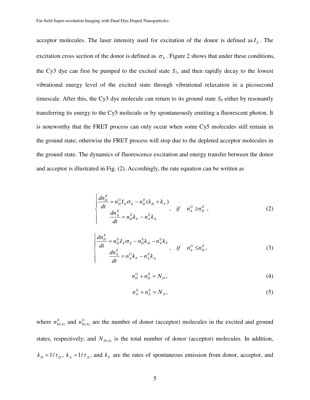acceptor molecules. The laser intensity used for excitation of the donor is defined as  $I<sub>E</sub>$ . The excitation cross section of the donor is defined as  $\sigma_E$ . Figure 2 shows that under these conditions, the Cy3 dye can first be pumped to the excited state  $S_I$ , and then rapidly decay to the lowest vibrational energy level of the excited state through vibrational relaxation in a picosecond timescale. After this, the Cy3 dye molecule can return to its ground state  $S_0$  either by resonantly transferring its energy to the Cy5 molecule or by spontaneously emitting a fluorescent photon. It is noteworthy that the FRET process can only occur when some Cy5 molecules still remain in the ground state; otherwise the FRET process will stop due to the depleted acceptor molecules in the ground state. The dynamics of fluorescence excitation and energy transfer between the donor and acceptor is illustrated in Fig. (2). Accordingly, the rate equation can be written as

$$
\begin{cases}\n\frac{dn_D^E}{dt} = n_D^G I_E \sigma_E - n_D^E (k_D + k_F) \\
\frac{dn_A^E}{dt} = n_D^E k_F - n_A^E k_A\n\end{cases}, \quad \text{if} \quad n_A^G \ge n_D^E,
$$
\n(2)

$$
\begin{cases}\n\frac{dn_D^E}{dt} = n_D^G I_E \sigma_E - n_D^E k_D - n_A^G k_F \\
\frac{dn_A^E}{dt} = n_A^G k_F - n_A^E k_A\n\end{cases}
$$
, if  $n_A^G \le n_D^E$ , (3)

$$
n_D^G + n_D^E = N_D, \tag{4}
$$

$$
n_A^G + n_A^E = N_A, \tag{5}
$$

where  $n_{D(A)}^E$  and  $n_{D(A)}^G$  are the number of donor (acceptor) molecules in the excited and ground states, respectively; and  $N_{D(A)}$  is the total number of donor (acceptor) molecules. In addition,  $k_D = 1/\tau_D$ ,  $k_A = 1/\tau_A$ , and  $k_F$  are the rates of spontaneous emission from donor, acceptor, and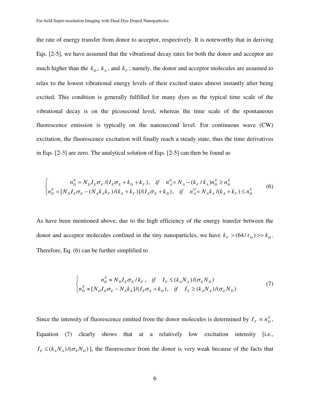the rate of energy transfer from donor to acceptor, respectively. It is noteworthy that in deriving Eqs. [2-5], we have assumed that the vibrational decay rates for both the donor and acceptor are much higher than the  $k_p$ ,  $k_A$ , and  $k_F$ ; namely, the donor and acceptor molecules are assumed to relax to the lowest vibrational energy levels of their excited states almost instantly after being excited. This condition is generally fulfilled for many dyes as the typical time scale of the vibrational decay is on the picosecond level, whereas the time scale of the spontaneous fluorescence emission is typically on the nanosecond level. For continuous wave (CW) excitation, the fluorescence excitation will finally reach a steady state, thus the time derivatives in Eqs. [2-3] are zero. The analytical solution of Eqs. [2-5] can then be found as

$$
\begin{cases}\nn_D^E = N_D I_E \sigma_E / (I_E \sigma_E + k_D + k_F), & \text{if } n_A^G = N_A - (k_F / k_A) n_D^E \ge n_D^E \\
n_D^E = [N_D I_E \sigma_E - (N_A k_A k_F) / (k_A + k_F)] / (I_E \sigma_E + k_D), & \text{if } n_A^G = N_A k_A / (k_A + k_F) \le n_D^E\n\end{cases} (6)
$$

As have been mentioned above, due to the high efficiency of the energy transfer between the donor and acceptor molecules confined in the tiny nanoparticles, we have  $k_F$  >  $(64/\tau_D)$  >>  $k_D$ . Therefore, Eq. (6) can be further simplified to

$$
\begin{cases}\nn_D^E \approx N_D I_E \sigma_E / k_F, & \text{if} \quad I_E \le (k_A N_A) / (\sigma_E N_D) \\
n_D^E \approx [N_D I_E \sigma_E - N_A k_A] / (I_E \sigma_E + k_D), & \text{if} \quad I_E \ge (k_A N_A) / (\sigma_E N_D)\n\end{cases} \tag{7}
$$

Since the intensity of fluorescence emitted from the donor molecules is determined by  $I_F \propto n_D^E$ , Equation (7) clearly shows that at a relatively low excitation intensity [i.e.,  $I_E \leq (k_A N_A)/(\sigma_E N_D)$ ], the fluorescence from the donor is very weak because of the facts that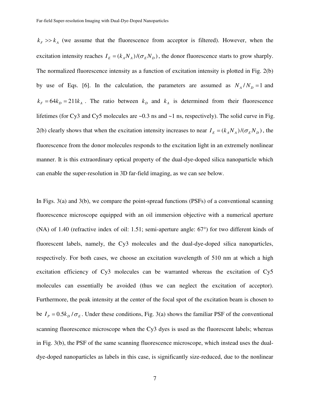$k_F$  >> $k_A$  (we assume that the fluorescence from acceptor is filtered). However, when the excitation intensity reaches  $I_E = (k_A N_A) / (\sigma_E N_D)$ , the donor fluorescence starts to grow sharply. The normalized fluorescence intensity as a function of excitation intensity is plotted in Fig. 2(b) by use of Eqs. [6]. In the calculation, the parameters are assumed as  $N_A/N_D = 1$  and  $k_F = 64k_D = 211k_A$ . The ratio between  $k_D$  and  $k_A$  is determined from their fluorescence lifetimes (for Cy3 and Cy5 molecules are  $\sim$ 0.3 ns and  $\sim$ 1 ns, respectively). The solid curve in Fig. 2(b) clearly shows that when the excitation intensity increases to near  $I_E = (k_A N_A)/(\sigma_E N_D)$ , the fluorescence from the donor molecules responds to the excitation light in an extremely nonlinear manner. It is this extraordinary optical property of the dual-dye-doped silica nanoparticle which can enable the super-resolution in 3D far-field imaging, as we can see below.

In Figs. 3(a) and 3(b), we compare the point-spread functions (PSFs) of a conventional scanning fluorescence microscope equipped with an oil immersion objective with a numerical aperture (NA) of 1.40 (refractive index of oil: 1.51; semi-aperture angle: 67°) for two different kinds of fluorescent labels, namely, the Cy3 molecules and the dual-dye-doped silica nanoparticles, respectively. For both cases, we choose an excitation wavelength of 510 nm at which a high excitation efficiency of Cy3 molecules can be warranted whereas the excitation of Cy5 molecules can essentially be avoided (thus we can neglect the excitation of acceptor). Furthermore, the peak intensity at the center of the focal spot of the excitation beam is chosen to be  $I_p = 0.5k_p/\sigma_E$ . Under these conditions, Fig. 3(a) shows the familiar PSF of the conventional scanning fluorescence microscope when the Cy3 dyes is used as the fluorescent labels; whereas in Fig. 3(b), the PSF of the same scanning fluorescence microscope, which instead uses the dualdye-doped nanoparticles as labels in this case, is significantly size-reduced, due to the nonlinear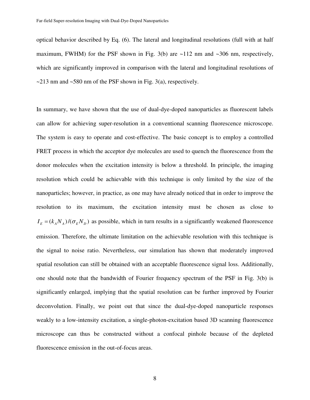optical behavior described by Eq. (6). The lateral and longitudinal resolutions (full with at half maximum, FWHM) for the PSF shown in Fig. 3(b) are  $\sim$ 112 nm and  $\sim$ 306 nm, respectively, which are significantly improved in comparison with the lateral and longitudinal resolutions of  $\sim$ 213 nm and  $\sim$ 580 nm of the PSF shown in Fig. 3(a), respectively.

In summary, we have shown that the use of dual-dye-doped nanoparticles as fluorescent labels can allow for achieving super-resolution in a conventional scanning fluorescence microscope. The system is easy to operate and cost-effective. The basic concept is to employ a controlled FRET process in which the acceptor dye molecules are used to quench the fluorescence from the donor molecules when the excitation intensity is below a threshold. In principle, the imaging resolution which could be achievable with this technique is only limited by the size of the nanoparticles; however, in practice, as one may have already noticed that in order to improve the resolution to its maximum, the excitation intensity must be chosen as close to  $I_E = (k_A N_A) / (\sigma_E N_D)$  as possible, which in turn results in a significantly weakened fluorescence emission. Therefore, the ultimate limitation on the achievable resolution with this technique is the signal to noise ratio. Nevertheless, our simulation has shown that moderately improved spatial resolution can still be obtained with an acceptable fluorescence signal loss. Additionally, one should note that the bandwidth of Fourier frequency spectrum of the PSF in Fig. 3(b) is significantly enlarged, implying that the spatial resolution can be further improved by Fourier deconvolution. Finally, we point out that since the dual-dye-doped nanoparticle responses weakly to a low-intensity excitation, a single-photon-excitation based 3D scanning fluorescence microscope can thus be constructed without a confocal pinhole because of the depleted fluorescence emission in the out-of-focus areas.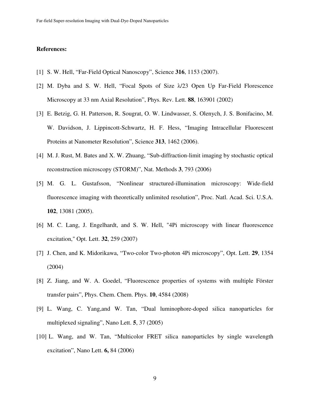#### **References:**

- [1] S. W. Hell, "Far-Field Optical Nanoscopy", Science **316**, 1153 (2007).
- [2] M. Dyba and S. W. Hell, "Focal Spots of Size λ/23 Open Up Far-Field Florescence Microscopy at 33 nm Axial Resolution", Phys. Rev. Lett. **88**, 163901 (2002)
- [3] E. Betzig, G. H. Patterson, R. Sougrat, O. W. Lindwasser, S. Olenych, J. S. Bonifacino, M. W. Davidson, J. Lippincott-Schwartz, H. F. Hess, "Imaging Intracellular Fluorescent Proteins at Nanometer Resolution", Science **313**, 1462 (2006).
- [4] M. J. Rust, M. Bates and X. W. Zhuang, "Sub-diffraction-limit imaging by stochastic optical reconstruction microscopy (STORM)", Nat. Methods **3**, 793 (2006)
- [5] M. G. L. Gustafsson, "Nonlinear structured-illumination microscopy: Wide-field fluorescence imaging with theoretically unlimited resolution", Proc. Natl. Acad. Sci. U.S.A. **102**, 13081 (2005).
- [6] M. C. Lang, J. Engelhardt, and S. W. Hell, "4Pi microscopy with linear fluorescence excitation," Opt. Lett. **32**, 259 (2007)
- [7] J. Chen, and K. Midorikawa, "Two-color Two-photon 4Pi microscopy", Opt. Lett. **29**, 1354 (2004)
- [8] Z. Jiang, and W. A. Goedel, "Fluorescence properties of systems with multiple Förster transfer pairs", Phys. Chem. Chem. Phys. **10**, 4584 (2008)
- [9] L. Wang, C. Yang,and W. Tan, "Dual luminophore-doped silica nanoparticles for multiplexed signaling", Nano Lett. **5**, 37 (2005)
- [10] L. Wang, and W. Tan, "Multicolor FRET silica nanoparticles by single wavelength excitation", Nano Lett. **6,** 84 (2006)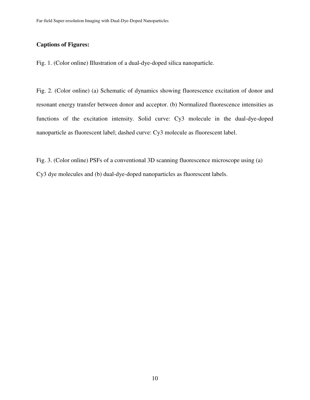### **Captions of Figures:**

Fig. 1. (Color online) Illustration of a dual-dye-doped silica nanoparticle.

Fig. 2. (Color online) (a) Schematic of dynamics showing fluorescence excitation of donor and resonant energy transfer between donor and acceptor. (b) Normalized fluorescence intensities as functions of the excitation intensity. Solid curve: Cy3 molecule in the dual-dye-doped nanoparticle as fluorescent label; dashed curve: Cy3 molecule as fluorescent label.

Fig. 3. (Color online) PSFs of a conventional 3D scanning fluorescence microscope using (a) Cy3 dye molecules and (b) dual-dye-doped nanoparticles as fluorescent labels.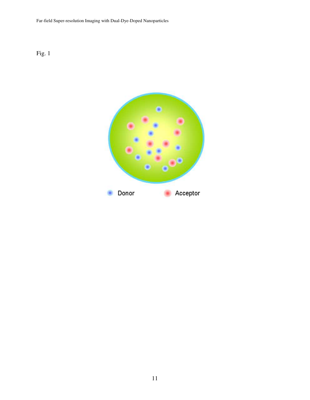Far-field Super-resolution Imaging with Dual-Dye-Doped Nanoparticles



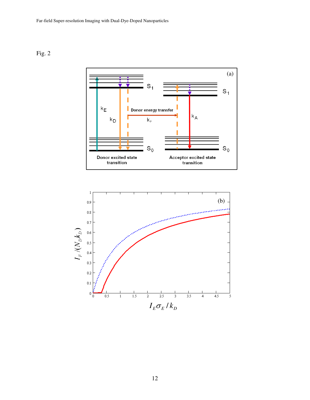Fig. 2